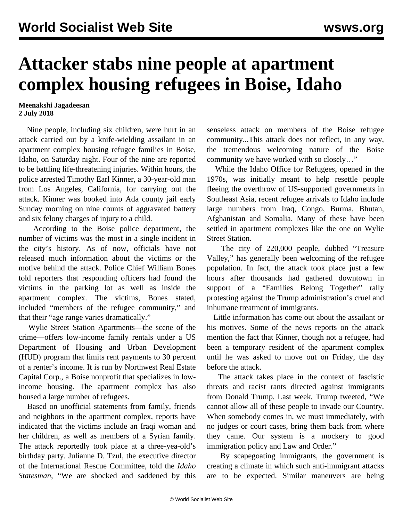## **Attacker stabs nine people at apartment complex housing refugees in Boise, Idaho**

## **Meenakshi Jagadeesan 2 July 2018**

 Nine people, including six children, were hurt in an attack carried out by a knife-wielding assailant in an apartment complex housing refugee families in Boise, Idaho, on Saturday night. Four of the nine are reported to be battling life-threatening injuries. Within hours, the police arrested Timothy Earl Kinner, a 30-year-old man from Los Angeles, California, for carrying out the attack. Kinner was booked into Ada county jail early Sunday morning on nine counts of aggravated battery and six felony charges of injury to a child.

 According to the Boise police department, the number of victims was the most in a single incident in the city's history. As of now, officials have not released much information about the victims or the motive behind the attack. Police Chief William Bones told reporters that responding officers had found the victims in the parking lot as well as inside the apartment complex. The victims, Bones stated, included "members of the refugee community," and that their "age range varies dramatically."

 Wylie Street Station Apartments—the scene of the crime—offers low-income family rentals under a US Department of Housing and Urban Development (HUD) program that limits rent payments to 30 percent of a renter's income. It is run by Northwest Real Estate Capital Corp., a Boise nonprofit that specializes in lowincome housing. The apartment complex has also housed a large number of refugees.

 Based on unofficial statements from family, friends and neighbors in the apartment complex, reports have indicated that the victims include an Iraqi woman and her children, as well as members of a Syrian family. The attack reportedly took place at a three-yea-old's birthday party. Julianne D. Tzul, the executive director of the International Rescue Committee, told the *Idaho Statesman*, "We are shocked and saddened by this senseless attack on members of the Boise refugee community...This attack does not reflect, in any way, the tremendous welcoming nature of the Boise community we have worked with so closely…"

 While the Idaho Office for Refugees, opened in the 1970s, was initially meant to help resettle people fleeing the overthrow of US-supported governments in Southeast Asia, recent refugee arrivals to Idaho include large numbers from Iraq, Congo, Burma, Bhutan, Afghanistan and Somalia. Many of these have been settled in apartment complexes like the one on Wylie Street Station.

 The city of 220,000 people, dubbed "Treasure Valley," has generally been welcoming of the refugee population. In fact, the attack took place just a few hours after thousands had gathered downtown in support of a "Families Belong Together" rally protesting against the Trump administration's cruel and inhumane treatment of immigrants.

 Little information has come out about the assailant or his motives. Some of the news reports on the attack mention the fact that Kinner, though not a refugee, had been a temporary resident of the apartment complex until he was asked to move out on Friday, the day before the attack.

 The attack takes place in the context of fascistic threats and racist rants directed against immigrants from Donald Trump. Last week, Trump tweeted, "We cannot allow all of these people to invade our Country. When somebody comes in, we must immediately, with no judges or court cases, bring them back from where they came. Our system is a mockery to good immigration policy and Law and Order."

 By scapegoating immigrants, the government is creating a climate in which such anti-immigrant attacks are to be expected. Similar maneuvers are being